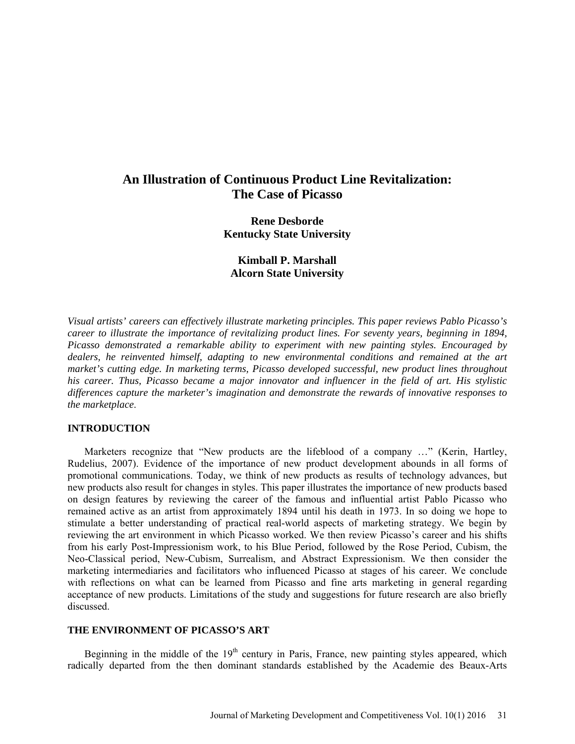# **An Illustration of Continuous Product Line Revitalization: The Case of Picasso**

**Rene Desborde Kentucky State University**

**Kimball P. Marshall Alcorn State University**

*Visual artists' careers can effectively illustrate marketing principles. This paper reviews Pablo Picasso's career to illustrate the importance of revitalizing product lines. For seventy years, beginning in 1894, Picasso demonstrated a remarkable ability to experiment with new painting styles. Encouraged by dealers, he reinvented himself, adapting to new environmental conditions and remained at the art market's cutting edge. In marketing terms, Picasso developed successful, new product lines throughout his career. Thus, Picasso became a major innovator and influencer in the field of art. His stylistic differences capture the marketer's imagination and demonstrate the rewards of innovative responses to the marketplace*.

### **INTRODUCTION**

Marketers recognize that "New products are the lifeblood of a company …" (Kerin, Hartley, Rudelius, 2007). Evidence of the importance of new product development abounds in all forms of promotional communications. Today, we think of new products as results of technology advances, but new products also result for changes in styles. This paper illustrates the importance of new products based on design features by reviewing the career of the famous and influential artist Pablo Picasso who remained active as an artist from approximately 1894 until his death in 1973. In so doing we hope to stimulate a better understanding of practical real-world aspects of marketing strategy. We begin by reviewing the art environment in which Picasso worked. We then review Picasso's career and his shifts from his early Post-Impressionism work, to his Blue Period, followed by the Rose Period, Cubism, the Neo-Classical period, New-Cubism, Surrealism, and Abstract Expressionism. We then consider the marketing intermediaries and facilitators who influenced Picasso at stages of his career. We conclude with reflections on what can be learned from Picasso and fine arts marketing in general regarding acceptance of new products. Limitations of the study and suggestions for future research are also briefly discussed.

## **THE ENVIRONMENT OF PICASSO'S ART**

Beginning in the middle of the  $19<sup>th</sup>$  century in Paris, France, new painting styles appeared, which radically departed from the then dominant standards established by the Academie des Beaux-Arts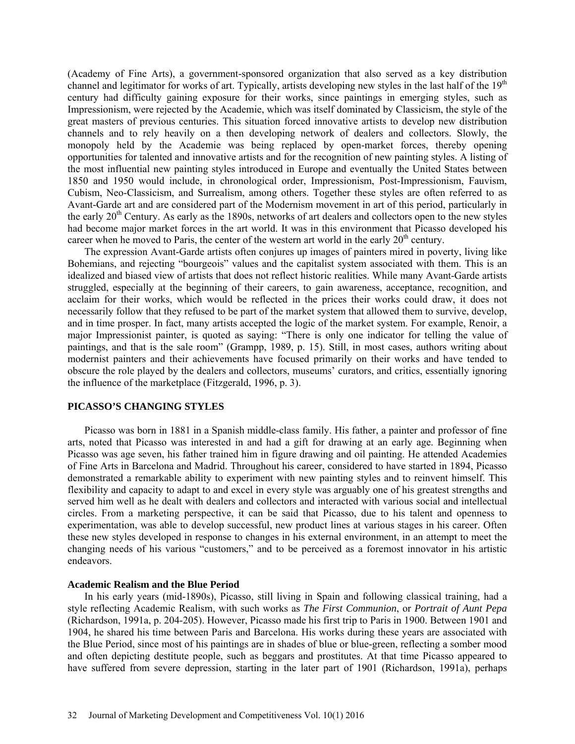(Academy of Fine Arts), a government-sponsored organization that also served as a key distribution channel and legitimator for works of art. Typically, artists developing new styles in the last half of the 19<sup>th</sup> century had difficulty gaining exposure for their works, since paintings in emerging styles, such as Impressionism, were rejected by the Academie, which was itself dominated by Classicism, the style of the great masters of previous centuries. This situation forced innovative artists to develop new distribution channels and to rely heavily on a then developing network of dealers and collectors. Slowly, the monopoly held by the Academie was being replaced by open-market forces, thereby opening opportunities for talented and innovative artists and for the recognition of new painting styles. A listing of the most influential new painting styles introduced in Europe and eventually the United States between 1850 and 1950 would include, in chronological order, Impressionism, Post-Impressionism, Fauvism, Cubism, Neo-Classicism, and Surrealism, among others. Together these styles are often referred to as Avant-Garde art and are considered part of the Modernism movement in art of this period, particularly in the early  $20<sup>th</sup>$  Century. As early as the 1890s, networks of art dealers and collectors open to the new styles had become major market forces in the art world. It was in this environment that Picasso developed his career when he moved to Paris, the center of the western art world in the early  $20<sup>th</sup>$  century.

The expression Avant-Garde artists often conjures up images of painters mired in poverty, living like Bohemians, and rejecting "bourgeois" values and the capitalist system associated with them. This is an idealized and biased view of artists that does not reflect historic realities. While many Avant-Garde artists struggled, especially at the beginning of their careers, to gain awareness, acceptance, recognition, and acclaim for their works, which would be reflected in the prices their works could draw, it does not necessarily follow that they refused to be part of the market system that allowed them to survive, develop, and in time prosper. In fact, many artists accepted the logic of the market system. For example, Renoir, a major Impressionist painter, is quoted as saying: "There is only one indicator for telling the value of paintings, and that is the sale room" (Grampp, 1989, p. 15). Still, in most cases, authors writing about modernist painters and their achievements have focused primarily on their works and have tended to obscure the role played by the dealers and collectors, museums' curators, and critics, essentially ignoring the influence of the marketplace (Fitzgerald, 1996, p. 3).

## **PICASSO'S CHANGING STYLES**

Picasso was born in 1881 in a Spanish middle-class family. His father, a painter and professor of fine arts, noted that Picasso was interested in and had a gift for drawing at an early age. Beginning when Picasso was age seven, his father trained him in figure drawing and oil painting. He attended Academies of Fine Arts in Barcelona and Madrid. Throughout his career, considered to have started in 1894, Picasso demonstrated a remarkable ability to experiment with new painting styles and to reinvent himself. This flexibility and capacity to adapt to and excel in every style was arguably one of his greatest strengths and served him well as he dealt with dealers and collectors and interacted with various social and intellectual circles. From a marketing perspective, it can be said that Picasso, due to his talent and openness to experimentation, was able to develop successful, new product lines at various stages in his career. Often these new styles developed in response to changes in his external environment, in an attempt to meet the changing needs of his various "customers," and to be perceived as a foremost innovator in his artistic endeavors.

#### **Academic Realism and the Blue Period**

In his early years (mid-1890s), Picasso, still living in Spain and following classical training, had a style reflecting Academic Realism, with such works as *The First Communion*, or *Portrait of Aunt Pepa* (Richardson, 1991a, p. 204-205). However, Picasso made his first trip to Paris in 1900. Between 1901 and 1904, he shared his time between Paris and Barcelona. His works during these years are associated with the Blue Period, since most of his paintings are in shades of blue or blue-green, reflecting a somber mood and often depicting destitute people, such as beggars and prostitutes. At that time Picasso appeared to have suffered from severe depression, starting in the later part of 1901 (Richardson, 1991a), perhaps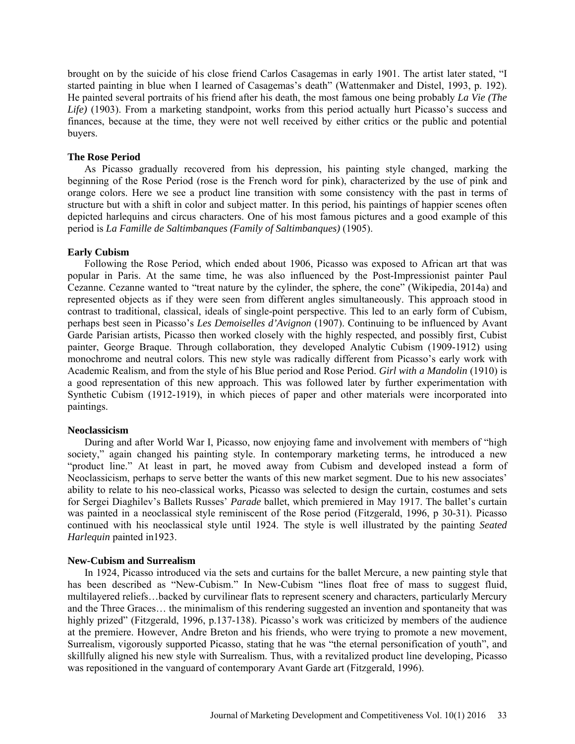brought on by the suicide of his close friend Carlos Casagemas in early 1901. The artist later stated, "I started painting in blue when I learned of Casagemas's death" (Wattenmaker and Distel, 1993, p. 192). He painted several portraits of his friend after his death, the most famous one being probably *La Vie (The*  Life) (1903). From a marketing standpoint, works from this period actually hurt Picasso's success and finances, because at the time, they were not well received by either critics or the public and potential buyers.

#### **The Rose Period**

As Picasso gradually recovered from his depression, his painting style changed, marking the beginning of the Rose Period (rose is the French word for pink), characterized by the use of pink and orange colors. Here we see a product line transition with some consistency with the past in terms of structure but with a shift in color and subject matter. In this period, his paintings of happier scenes often depicted harlequins and circus characters. One of his most famous pictures and a good example of this period is *La Famille de Saltimbanques (Family of Saltimbanques)* (1905).

#### **Early Cubism**

Following the Rose Period, which ended about 1906, Picasso was exposed to African art that was popular in Paris. At the same time, he was also influenced by the Post-Impressionist painter Paul Cezanne. Cezanne wanted to "treat nature by the cylinder, the sphere, the cone" (Wikipedia, 2014a) and represented objects as if they were seen from different angles simultaneously. This approach stood in contrast to traditional, classical, ideals of single-point perspective. This led to an early form of Cubism, perhaps best seen in Picasso's *Les Demoiselles d'Avignon* (1907). Continuing to be influenced by Avant Garde Parisian artists, Picasso then worked closely with the highly respected, and possibly first, Cubist painter, George Braque. Through collaboration, they developed Analytic Cubism (1909-1912) using monochrome and neutral colors. This new style was radically different from Picasso's early work with Academic Realism, and from the style of his Blue period and Rose Period. *Girl with a Mandolin* (1910) is a good representation of this new approach. This was followed later by further experimentation with Synthetic Cubism (1912-1919), in which pieces of paper and other materials were incorporated into paintings.

#### **Neoclassicism**

During and after World War I, Picasso, now enjoying fame and involvement with members of "high society," again changed his painting style. In contemporary marketing terms, he introduced a new "product line." At least in part, he moved away from Cubism and developed instead a form of Neoclassicism, perhaps to serve better the wants of this new market segment. Due to his new associates' ability to relate to his neo-classical works, Picasso was selected to design the curtain, costumes and sets for Sergei Diaghilev's Ballets Russes' *Parade* ballet, which premiered in May 1917. The ballet's curtain was painted in a neoclassical style reminiscent of the Rose period (Fitzgerald, 1996, p 30-31). Picasso continued with his neoclassical style until 1924. The style is well illustrated by the painting *Seated Harlequin* painted in1923.

#### **New-Cubism and Surrealism**

In 1924, Picasso introduced via the sets and curtains for the ballet Mercure, a new painting style that has been described as "New-Cubism." In New-Cubism "lines float free of mass to suggest fluid, multilayered reliefs…backed by curvilinear flats to represent scenery and characters, particularly Mercury and the Three Graces… the minimalism of this rendering suggested an invention and spontaneity that was highly prized" (Fitzgerald, 1996, p.137-138). Picasso's work was criticized by members of the audience at the premiere. However, Andre Breton and his friends, who were trying to promote a new movement, Surrealism, vigorously supported Picasso, stating that he was "the eternal personification of youth", and skillfully aligned his new style with Surrealism. Thus, with a revitalized product line developing, Picasso was repositioned in the vanguard of contemporary Avant Garde art (Fitzgerald, 1996).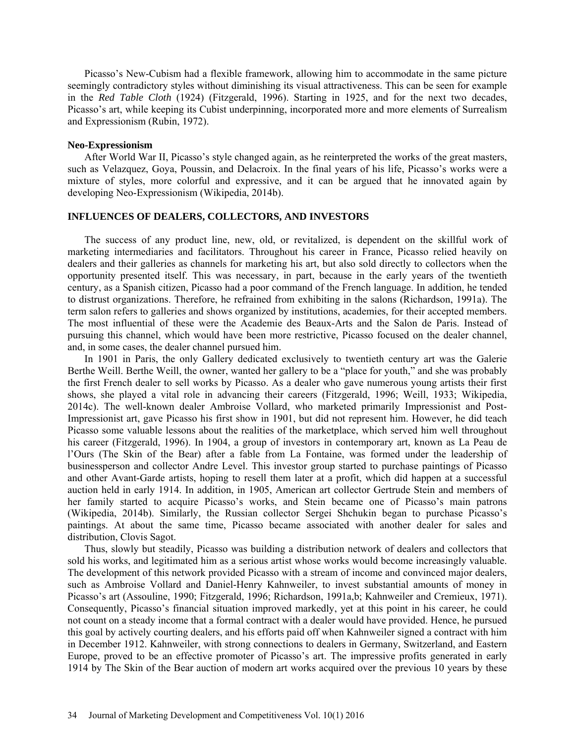Picasso's New-Cubism had a flexible framework, allowing him to accommodate in the same picture seemingly contradictory styles without diminishing its visual attractiveness. This can be seen for example in the *Red Table Cloth* (1924) (Fitzgerald, 1996). Starting in 1925, and for the next two decades, Picasso's art, while keeping its Cubist underpinning, incorporated more and more elements of Surrealism and Expressionism (Rubin, 1972).

#### **Neo-Expressionism**

After World War II, Picasso's style changed again, as he reinterpreted the works of the great masters, such as Velazquez, Goya, Poussin, and Delacroix. In the final years of his life, Picasso's works were a mixture of styles, more colorful and expressive, and it can be argued that he innovated again by developing Neo-Expressionism (Wikipedia, 2014b).

# **INFLUENCES OF DEALERS, COLLECTORS, AND INVESTORS**

The success of any product line, new, old, or revitalized, is dependent on the skillful work of marketing intermediaries and facilitators. Throughout his career in France, Picasso relied heavily on dealers and their galleries as channels for marketing his art, but also sold directly to collectors when the opportunity presented itself. This was necessary, in part, because in the early years of the twentieth century, as a Spanish citizen, Picasso had a poor command of the French language. In addition, he tended to distrust organizations. Therefore, he refrained from exhibiting in the salons (Richardson, 1991a). The term salon refers to galleries and shows organized by institutions, academies, for their accepted members. The most influential of these were the Academie des Beaux-Arts and the Salon de Paris. Instead of pursuing this channel, which would have been more restrictive, Picasso focused on the dealer channel, and, in some cases, the dealer channel pursued him.

In 1901 in Paris, the only Gallery dedicated exclusively to twentieth century art was the Galerie Berthe Weill. Berthe Weill, the owner, wanted her gallery to be a "place for youth," and she was probably the first French dealer to sell works by Picasso. As a dealer who gave numerous young artists their first shows, she played a vital role in advancing their careers (Fitzgerald, 1996; Weill, 1933; Wikipedia, 2014c). The well-known dealer Ambroise Vollard, who marketed primarily Impressionist and Post-Impressionist art, gave Picasso his first show in 1901, but did not represent him. However, he did teach Picasso some valuable lessons about the realities of the marketplace, which served him well throughout his career (Fitzgerald, 1996). In 1904, a group of investors in contemporary art, known as La Peau de l'Ours (The Skin of the Bear) after a fable from La Fontaine, was formed under the leadership of businessperson and collector Andre Level. This investor group started to purchase paintings of Picasso and other Avant-Garde artists, hoping to resell them later at a profit, which did happen at a successful auction held in early 1914. In addition, in 1905, American art collector Gertrude Stein and members of her family started to acquire Picasso's works, and Stein became one of Picasso's main patrons (Wikipedia, 2014b). Similarly, the Russian collector Sergei Shchukin began to purchase Picasso's paintings. At about the same time, Picasso became associated with another dealer for sales and distribution, Clovis Sagot.

Thus, slowly but steadily, Picasso was building a distribution network of dealers and collectors that sold his works, and legitimated him as a serious artist whose works would become increasingly valuable. The development of this network provided Picasso with a stream of income and convinced major dealers, such as Ambroise Vollard and Daniel-Henry Kahnweiler, to invest substantial amounts of money in Picasso's art (Assouline, 1990; Fitzgerald, 1996; Richardson, 1991a,b; Kahnweiler and Cremieux, 1971). Consequently, Picasso's financial situation improved markedly, yet at this point in his career, he could not count on a steady income that a formal contract with a dealer would have provided. Hence, he pursued this goal by actively courting dealers, and his efforts paid off when Kahnweiler signed a contract with him in December 1912. Kahnweiler, with strong connections to dealers in Germany, Switzerland, and Eastern Europe, proved to be an effective promoter of Picasso's art. The impressive profits generated in early 1914 by The Skin of the Bear auction of modern art works acquired over the previous 10 years by these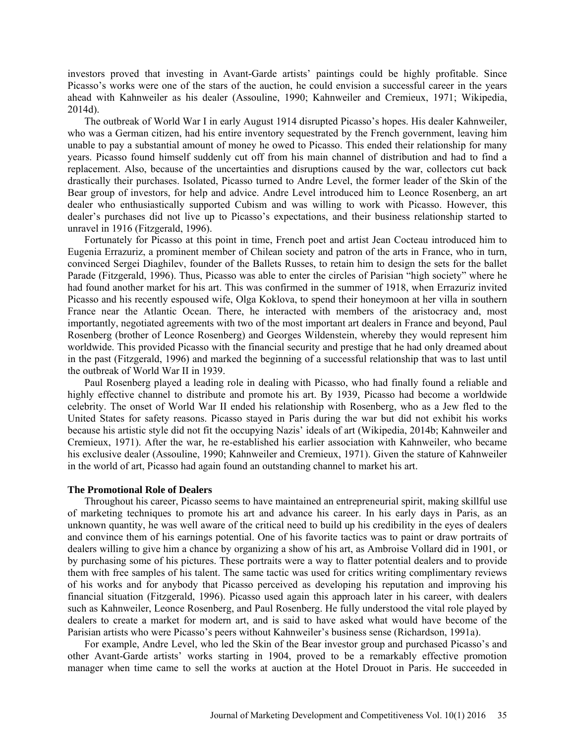investors proved that investing in Avant-Garde artists' paintings could be highly profitable. Since Picasso's works were one of the stars of the auction, he could envision a successful career in the years ahead with Kahnweiler as his dealer (Assouline, 1990; Kahnweiler and Cremieux, 1971; Wikipedia, 2014d).

The outbreak of World War I in early August 1914 disrupted Picasso's hopes. His dealer Kahnweiler, who was a German citizen, had his entire inventory sequestrated by the French government, leaving him unable to pay a substantial amount of money he owed to Picasso. This ended their relationship for many years. Picasso found himself suddenly cut off from his main channel of distribution and had to find a replacement. Also, because of the uncertainties and disruptions caused by the war, collectors cut back drastically their purchases. Isolated, Picasso turned to Andre Level, the former leader of the Skin of the Bear group of investors, for help and advice. Andre Level introduced him to Leonce Rosenberg, an art dealer who enthusiastically supported Cubism and was willing to work with Picasso. However, this dealer's purchases did not live up to Picasso's expectations, and their business relationship started to unravel in 1916 (Fitzgerald, 1996).

Fortunately for Picasso at this point in time, French poet and artist Jean Cocteau introduced him to Eugenia Errazuriz, a prominent member of Chilean society and patron of the arts in France, who in turn, convinced Sergei Diaghilev, founder of the Ballets Russes, to retain him to design the sets for the ballet Parade (Fitzgerald, 1996). Thus, Picasso was able to enter the circles of Parisian "high society" where he had found another market for his art. This was confirmed in the summer of 1918, when Errazuriz invited Picasso and his recently espoused wife, Olga Koklova, to spend their honeymoon at her villa in southern France near the Atlantic Ocean. There, he interacted with members of the aristocracy and, most importantly, negotiated agreements with two of the most important art dealers in France and beyond, Paul Rosenberg (brother of Leonce Rosenberg) and Georges Wildenstein, whereby they would represent him worldwide. This provided Picasso with the financial security and prestige that he had only dreamed about in the past (Fitzgerald, 1996) and marked the beginning of a successful relationship that was to last until the outbreak of World War II in 1939.

Paul Rosenberg played a leading role in dealing with Picasso, who had finally found a reliable and highly effective channel to distribute and promote his art. By 1939, Picasso had become a worldwide celebrity. The onset of World War II ended his relationship with Rosenberg, who as a Jew fled to the United States for safety reasons. Picasso stayed in Paris during the war but did not exhibit his works because his artistic style did not fit the occupying Nazis' ideals of art (Wikipedia, 2014b; Kahnweiler and Cremieux, 1971). After the war, he re-established his earlier association with Kahnweiler, who became his exclusive dealer (Assouline, 1990; Kahnweiler and Cremieux, 1971). Given the stature of Kahnweiler in the world of art, Picasso had again found an outstanding channel to market his art.

#### **The Promotional Role of Dealers**

Throughout his career, Picasso seems to have maintained an entrepreneurial spirit, making skillful use of marketing techniques to promote his art and advance his career. In his early days in Paris, as an unknown quantity, he was well aware of the critical need to build up his credibility in the eyes of dealers and convince them of his earnings potential. One of his favorite tactics was to paint or draw portraits of dealers willing to give him a chance by organizing a show of his art, as Ambroise Vollard did in 1901, or by purchasing some of his pictures. These portraits were a way to flatter potential dealers and to provide them with free samples of his talent. The same tactic was used for critics writing complimentary reviews of his works and for anybody that Picasso perceived as developing his reputation and improving his financial situation (Fitzgerald, 1996). Picasso used again this approach later in his career, with dealers such as Kahnweiler, Leonce Rosenberg, and Paul Rosenberg. He fully understood the vital role played by dealers to create a market for modern art, and is said to have asked what would have become of the Parisian artists who were Picasso's peers without Kahnweiler's business sense (Richardson, 1991a).

For example, Andre Level, who led the Skin of the Bear investor group and purchased Picasso's and other Avant-Garde artists' works starting in 1904, proved to be a remarkably effective promotion manager when time came to sell the works at auction at the Hotel Drouot in Paris. He succeeded in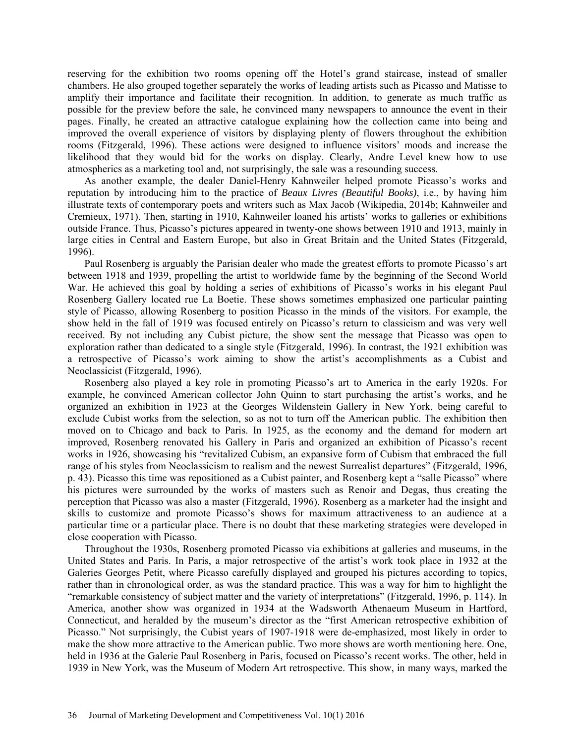reserving for the exhibition two rooms opening off the Hotel's grand staircase, instead of smaller chambers. He also grouped together separately the works of leading artists such as Picasso and Matisse to amplify their importance and facilitate their recognition. In addition, to generate as much traffic as possible for the preview before the sale, he convinced many newspapers to announce the event in their pages. Finally, he created an attractive catalogue explaining how the collection came into being and improved the overall experience of visitors by displaying plenty of flowers throughout the exhibition rooms (Fitzgerald, 1996). These actions were designed to influence visitors' moods and increase the likelihood that they would bid for the works on display. Clearly, Andre Level knew how to use atmospherics as a marketing tool and, not surprisingly, the sale was a resounding success.

As another example, the dealer Daniel-Henry Kahnweiler helped promote Picasso's works and reputation by introducing him to the practice of *Beaux Livres (Beautiful Books)*, i.e., by having him illustrate texts of contemporary poets and writers such as Max Jacob (Wikipedia, 2014b; Kahnweiler and Cremieux, 1971). Then, starting in 1910, Kahnweiler loaned his artists' works to galleries or exhibitions outside France. Thus, Picasso's pictures appeared in twenty-one shows between 1910 and 1913, mainly in large cities in Central and Eastern Europe, but also in Great Britain and the United States (Fitzgerald, 1996).

Paul Rosenberg is arguably the Parisian dealer who made the greatest efforts to promote Picasso's art between 1918 and 1939, propelling the artist to worldwide fame by the beginning of the Second World War. He achieved this goal by holding a series of exhibitions of Picasso's works in his elegant Paul Rosenberg Gallery located rue La Boetie. These shows sometimes emphasized one particular painting style of Picasso, allowing Rosenberg to position Picasso in the minds of the visitors. For example, the show held in the fall of 1919 was focused entirely on Picasso's return to classicism and was very well received. By not including any Cubist picture, the show sent the message that Picasso was open to exploration rather than dedicated to a single style (Fitzgerald, 1996). In contrast, the 1921 exhibition was a retrospective of Picasso's work aiming to show the artist's accomplishments as a Cubist and Neoclassicist (Fitzgerald, 1996).

Rosenberg also played a key role in promoting Picasso's art to America in the early 1920s. For example, he convinced American collector John Quinn to start purchasing the artist's works, and he organized an exhibition in 1923 at the Georges Wildenstein Gallery in New York, being careful to exclude Cubist works from the selection, so as not to turn off the American public. The exhibition then moved on to Chicago and back to Paris. In 1925, as the economy and the demand for modern art improved, Rosenberg renovated his Gallery in Paris and organized an exhibition of Picasso's recent works in 1926, showcasing his "revitalized Cubism, an expansive form of Cubism that embraced the full range of his styles from Neoclassicism to realism and the newest Surrealist departures" (Fitzgerald, 1996, p. 43). Picasso this time was repositioned as a Cubist painter, and Rosenberg kept a "salle Picasso" where his pictures were surrounded by the works of masters such as Renoir and Degas, thus creating the perception that Picasso was also a master (Fitzgerald, 1996). Rosenberg as a marketer had the insight and skills to customize and promote Picasso's shows for maximum attractiveness to an audience at a particular time or a particular place. There is no doubt that these marketing strategies were developed in close cooperation with Picasso.

Throughout the 1930s, Rosenberg promoted Picasso via exhibitions at galleries and museums, in the United States and Paris. In Paris, a major retrospective of the artist's work took place in 1932 at the Galeries Georges Petit, where Picasso carefully displayed and grouped his pictures according to topics, rather than in chronological order, as was the standard practice. This was a way for him to highlight the "remarkable consistency of subject matter and the variety of interpretations" (Fitzgerald, 1996, p. 114). In America, another show was organized in 1934 at the Wadsworth Athenaeum Museum in Hartford, Connecticut, and heralded by the museum's director as the "first American retrospective exhibition of Picasso." Not surprisingly, the Cubist years of 1907-1918 were de-emphasized, most likely in order to make the show more attractive to the American public. Two more shows are worth mentioning here. One, held in 1936 at the Galerie Paul Rosenberg in Paris, focused on Picasso's recent works. The other, held in 1939 in New York, was the Museum of Modern Art retrospective. This show, in many ways, marked the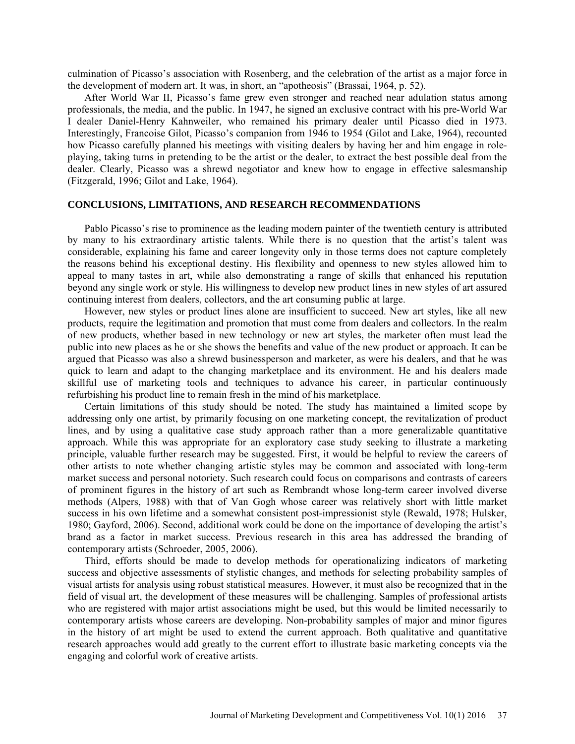culmination of Picasso's association with Rosenberg, and the celebration of the artist as a major force in the development of modern art. It was, in short, an "apotheosis" (Brassai, 1964, p. 52).

After World War II, Picasso's fame grew even stronger and reached near adulation status among professionals, the media, and the public. In 1947, he signed an exclusive contract with his pre-World War I dealer Daniel-Henry Kahnweiler, who remained his primary dealer until Picasso died in 1973. Interestingly, Francoise Gilot, Picasso's companion from 1946 to 1954 (Gilot and Lake, 1964), recounted how Picasso carefully planned his meetings with visiting dealers by having her and him engage in roleplaying, taking turns in pretending to be the artist or the dealer, to extract the best possible deal from the dealer. Clearly, Picasso was a shrewd negotiator and knew how to engage in effective salesmanship (Fitzgerald, 1996; Gilot and Lake, 1964).

# **CONCLUSIONS, LIMITATIONS, AND RESEARCH RECOMMENDATIONS**

Pablo Picasso's rise to prominence as the leading modern painter of the twentieth century is attributed by many to his extraordinary artistic talents. While there is no question that the artist's talent was considerable, explaining his fame and career longevity only in those terms does not capture completely the reasons behind his exceptional destiny. His flexibility and openness to new styles allowed him to appeal to many tastes in art, while also demonstrating a range of skills that enhanced his reputation beyond any single work or style. His willingness to develop new product lines in new styles of art assured continuing interest from dealers, collectors, and the art consuming public at large.

However, new styles or product lines alone are insufficient to succeed. New art styles, like all new products, require the legitimation and promotion that must come from dealers and collectors. In the realm of new products, whether based in new technology or new art styles, the marketer often must lead the public into new places as he or she shows the benefits and value of the new product or approach. It can be argued that Picasso was also a shrewd businessperson and marketer, as were his dealers, and that he was quick to learn and adapt to the changing marketplace and its environment. He and his dealers made skillful use of marketing tools and techniques to advance his career, in particular continuously refurbishing his product line to remain fresh in the mind of his marketplace.

Certain limitations of this study should be noted. The study has maintained a limited scope by addressing only one artist, by primarily focusing on one marketing concept, the revitalization of product lines, and by using a qualitative case study approach rather than a more generalizable quantitative approach. While this was appropriate for an exploratory case study seeking to illustrate a marketing principle, valuable further research may be suggested. First, it would be helpful to review the careers of other artists to note whether changing artistic styles may be common and associated with long-term market success and personal notoriety. Such research could focus on comparisons and contrasts of careers of prominent figures in the history of art such as Rembrandt whose long-term career involved diverse methods (Alpers, 1988) with that of Van Gogh whose career was relatively short with little market success in his own lifetime and a somewhat consistent post-impressionist style (Rewald, 1978; Hulsker, 1980; Gayford, 2006). Second, additional work could be done on the importance of developing the artist's brand as a factor in market success. Previous research in this area has addressed the branding of contemporary artists (Schroeder, 2005, 2006).

Third, efforts should be made to develop methods for operationalizing indicators of marketing success and objective assessments of stylistic changes, and methods for selecting probability samples of visual artists for analysis using robust statistical measures. However, it must also be recognized that in the field of visual art, the development of these measures will be challenging. Samples of professional artists who are registered with major artist associations might be used, but this would be limited necessarily to contemporary artists whose careers are developing. Non-probability samples of major and minor figures in the history of art might be used to extend the current approach. Both qualitative and quantitative research approaches would add greatly to the current effort to illustrate basic marketing concepts via the engaging and colorful work of creative artists.